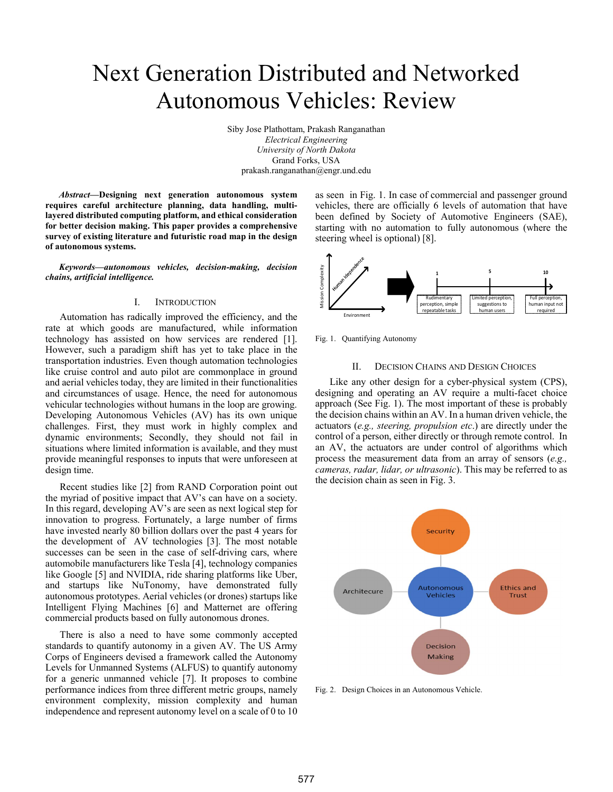# Next Generation Distributed and Networked Autonomous Vehicles: Review

Siby Jose Plathottam, Prakash Ranganathan *Electrical Engineering University of North Dakota*  Grand Forks, USA prakash.ranganathan@engr.und.edu

*Abstract***—Designing next generation autonomous system requires careful architecture planning, data handling, multilayered distributed computing platform, and ethical consideration for better decision making. This paper provides a comprehensive survey of existing literature and futuristic road map in the design of autonomous systems.** 

*Keywords—autonomous vehicles, decision-making, decision chains, artificial intelligence.* 

# I. INTRODUCTION

Automation has radically improved the efficiency, and the rate at which goods are manufactured, while information technology has assisted on how services are rendered [1]. However, such a paradigm shift has yet to take place in the transportation industries. Even though automation technologies like cruise control and auto pilot are commonplace in ground and aerial vehicles today, they are limited in their functionalities and circumstances of usage. Hence, the need for autonomous vehicular technologies without humans in the loop are growing. Developing Autonomous Vehicles (AV) has its own unique challenges. First, they must work in highly complex and dynamic environments; Secondly, they should not fail in situations where limited information is available, and they must provide meaningful responses to inputs that were unforeseen at design time.

Recent studies like [2] from RAND Corporation point out the myriad of positive impact that AV's can have on a society. In this regard, developing AV's are seen as next logical step for innovation to progress. Fortunately, a large number of firms have invested nearly 80 billion dollars over the past 4 years for the development of AV technologies [3]. The most notable successes can be seen in the case of self-driving cars, where automobile manufacturers like Tesla [4], technology companies like Google [5] and NVIDIA, ride sharing platforms like Uber, and startups like NuTonomy, have demonstrated fully autonomous prototypes. Aerial vehicles (or drones) startups like Intelligent Flying Machines [6] and Matternet are offering commercial products based on fully autonomous drones.

There is also a need to have some commonly accepted standards to quantify autonomy in a given AV. The US Army Corps of Engineers devised a framework called the Autonomy Levels for Unmanned Systems (ALFUS) to quantify autonomy for a generic unmanned vehicle [7]. It proposes to combine performance indices from three different metric groups, namely environment complexity, mission complexity and human independence and represent autonomy level on a scale of 0 to 10

as seen in Fig. 1. In case of commercial and passenger ground vehicles, there are officially 6 levels of automation that have been defined by Society of Automotive Engineers (SAE), starting with no automation to fully autonomous (where the steering wheel is optional) [8].



Fig. 1. Quantifying Autonomy

# II. DECISION CHAINS AND DESIGN CHOICES

Like any other design for a cyber-physical system (CPS), designing and operating an AV require a multi-facet choice approach (See Fig. 1). The most important of these is probably the decision chains within an AV. In a human driven vehicle, the actuators (*e.g., steering, propulsion etc*.) are directly under the control of a person, either directly or through remote control. In an AV, the actuators are under control of algorithms which process the measurement data from an array of sensors (*e.g., cameras, radar, lidar, or ultrasonic*). This may be referred to as the decision chain as seen in Fig. 3.



Fig. 2. Design Choices in an Autonomous Vehicle.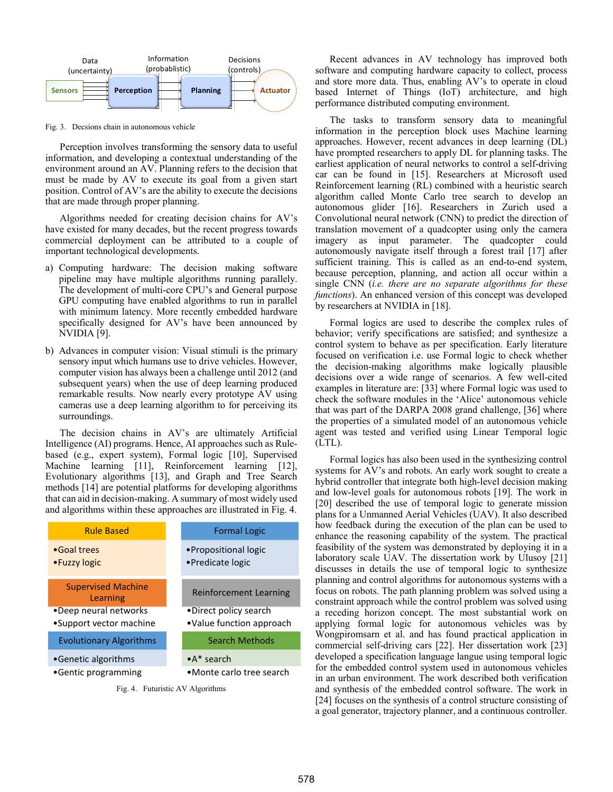

Fig. 3. Decsions chain in autonomous vehicle

Perception involves transforming the sensory data to useful information, and developing a contextual understanding of the environment around an AV. Planning refers to the decision that must be made by AV to execute its goal from a given start position. Control of AV's are the ability to execute the decisions that are made through proper planning.

Algorithms needed for creating decision chains for AV's have existed for many decades, but the recent progress towards commercial deployment can be attributed to a couple of important technological developments.

- a) Computing hardware: The decision making software pipeline may have multiple algorithms running parallely. The development of multi-core CPU's and General purpose GPU computing have enabled algorithms to run in parallel with minimum latency. More recently embedded hardware specifically designed for AV's have been announced by NVIDIA [9].
- b) Advances in computer vision: Visual stimuli is the primary sensory input which humans use to drive vehicles. However, computer vision has always been a challenge until 2012 (and subsequent years) when the use of deep learning produced remarkable results. Now nearly every prototype AV using cameras use a deep learning algorithm to for perceiving its surroundings.

The decision chains in AV's are ultimately Artificial Intelligence (AI) programs. Hence, AI approaches such as Rulebased (e.g., expert system), Formal logic [10], Supervised Machine learning [11], Reinforcement learning [12], Evolutionary algorithms [13], and Graph and Tree Search methods [14] are potential platforms for developing algorithms that can aid in decision-making. A summary of most widely used and algorithms within these approaches are illustrated in Fig. 4.

| <b>Rule Based</b>                                | <b>Formal Logic</b>                               |  |
|--------------------------------------------------|---------------------------------------------------|--|
| •Goal trees<br>• Fuzzy logic                     | • Propositional logic<br>• Predicate logic        |  |
| <b>Supervised Machine</b><br>Learning            | <b>Reinforcement Learning</b>                     |  |
| •Deep neural networks<br>•Support vector machine | •Direct policy search<br>•Value function approach |  |
| <b>Evolutionary Algorithms</b>                   | <b>Search Methods</b>                             |  |
| • Genetic algorithms                             | $\bullet$ A* search                               |  |
| •Gentic programming                              | • Monte carlo tree search                         |  |
| $\blacksquare$                                   |                                                   |  |

Fig. 4. Futuristic AV Algorithms

Recent advances in AV technology has improved both software and computing hardware capacity to collect, process and store more data. Thus, enabling AV's to operate in cloud based Internet of Things (IoT) architecture, and high performance distributed computing environment.

The tasks to transform sensory data to meaningful information in the perception block uses Machine learning approaches. However, recent advances in deep learning (DL) have prompted researchers to apply DL for planning tasks. The earliest application of neural networks to control a self-driving car can be found in [15]. Researchers at Microsoft used Reinforcement learning (RL) combined with a heuristic search algorithm called Monte Carlo tree search to develop an autonomous glider [16]. Researchers in Zurich used a Convolutional neural network (CNN) to predict the direction of translation movement of a quadcopter using only the camera imagery as input parameter. The quadcopter could autonomously navigate itself through a forest trail [17] after sufficient training. This is called as an end-to-end system, because perception, planning, and action all occur within a single CNN (*i.e. there are no separate algorithms for these functions*). An enhanced version of this concept was developed by researchers at NVIDIA in [18].

Formal logics are used to describe the complex rules of behavior; verify specifications are satisfied; and synthesize a control system to behave as per specification. Early literature focused on verification i.e. use Formal logic to check whether the decision-making algorithms make logically plausible decisions over a wide range of scenarios. A few well-cited examples in literature are: [33] where Formal logic was used to check the software modules in the 'Alice' autonomous vehicle that was part of the DARPA 2008 grand challenge, [36] where the properties of a simulated model of an autonomous vehicle agent was tested and verified using Linear Temporal logic (LTL).

Formal logics has also been used in the synthesizing control systems for AV's and robots. An early work sought to create a hybrid controller that integrate both high-level decision making and low-level goals for autonomous robots [19]. The work in [20] described the use of temporal logic to generate mission plans for a Unmanned Aerial Vehicles (UAV). It also described how feedback during the execution of the plan can be used to enhance the reasoning capability of the system. The practical feasibility of the system was demonstrated by deploying it in a laboratory scale UAV. The dissertation work by Ulusoy [21] discusses in details the use of temporal logic to synthesize planning and control algorithms for autonomous systems with a focus on robots. The path planning problem was solved using a constraint approach while the control problem was solved using a receding horizon concept. The most substantial work on applying formal logic for autonomous vehicles was by Wongpiromsarn et al. and has found practical application in commercial self-driving cars [22]. Her dissertation work [23] developed a specification language langue using temporal logic for the embedded control system used in autonomous vehicles in an urban environment. The work described both verification and synthesis of the embedded control software. The work in [24] focuses on the synthesis of a control structure consisting of a goal generator, trajectory planner, and a continuous controller.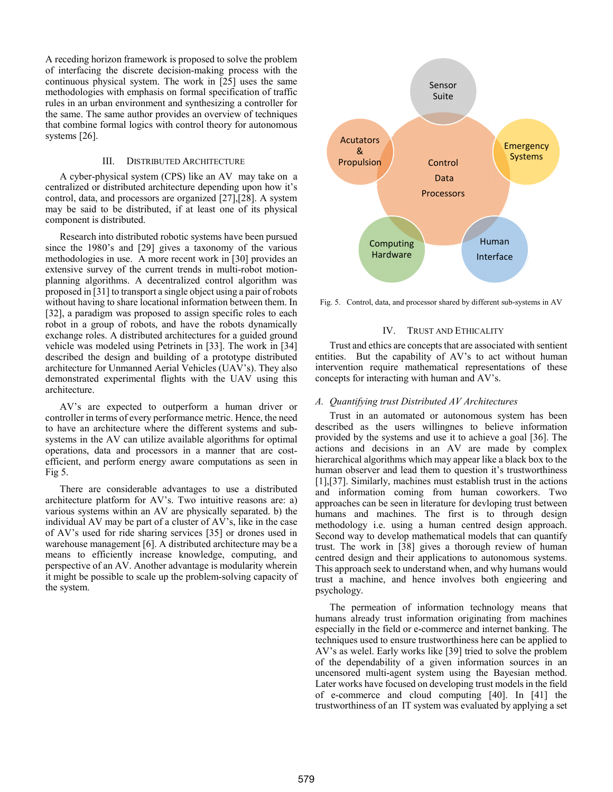A receding horizon framework is proposed to solve the problem of interfacing the discrete decision-making process with the continuous physical system. The work in [25] uses the same methodologies with emphasis on formal specification of traffic rules in an urban environment and synthesizing a controller for the same. The same author provides an overview of techniques that combine formal logics with control theory for autonomous systems [26].

# III. DISTRIBUTED ARCHITECTURE

A cyber-physical system (CPS) like an AV may take on a centralized or distributed architecture depending upon how it's control, data, and processors are organized [27],[28]. A system may be said to be distributed, if at least one of its physical component is distributed.

Research into distributed robotic systems have been pursued since the 1980's and [29] gives a taxonomy of the various methodologies in use. A more recent work in [30] provides an extensive survey of the current trends in multi-robot motionplanning algorithms. A decentralized control algorithm was proposed in [31] to transport a single object using a pair of robots without having to share locational information between them. In [32], a paradigm was proposed to assign specific roles to each robot in a group of robots, and have the robots dynamically exchange roles. A distributed architectures for a guided ground vehicle was modeled using Petrinets in [33]. The work in [34] described the design and building of a prototype distributed architecture for Unmanned Aerial Vehicles (UAV's). They also demonstrated experimental flights with the UAV using this architecture.

AV's are expected to outperform a human driver or controller in terms of every performance metric. Hence, the need to have an architecture where the different systems and subsystems in the AV can utilize available algorithms for optimal operations, data and processors in a manner that are costefficient, and perform energy aware computations as seen in Fig 5.

There are considerable advantages to use a distributed architecture platform for AV's. Two intuitive reasons are: a) various systems within an AV are physically separated. b) the individual AV may be part of a cluster of AV's, like in the case of AV's used for ride sharing services [35] or drones used in warehouse management [6]. A distributed architecture may be a means to efficiently increase knowledge, computing, and perspective of an AV. Another advantage is modularity wherein it might be possible to scale up the problem-solving capacity of the system.



Fig. 5. Control, data, and processor shared by different sub-systems in AV

# IV. TRUST AND ETHICALITY

Trust and ethics are concepts that are associated with sentient entities. But the capability of AV's to act without human intervention require mathematical representations of these concepts for interacting with human and AV's.

# *A. Quantifying trust Distributed AV Architectures*

Trust in an automated or autonomous system has been described as the users willingnes to believe information provided by the systems and use it to achieve a goal [36]. The actions and decisions in an AV are made by complex hierarchical algorithms which may appear like a black box to the human observer and lead them to question it's trustworthiness [1],[37]. Similarly, machines must establish trust in the actions and information coming from human coworkers. Two approaches can be seen in literature for devloping trust between humans and machines. The first is to through design methodology i.e. using a human centred design approach. Second way to develop mathematical models that can quantify trust. The work in [38] gives a thorough review of human centred design and their applications to autonomous systems. This approach seek to understand when, and why humans would trust a machine, and hence involves both engieering and psychology.

The permeation of information technology means that humans already trust information originating from machines especially in the field or e-commerce and internet banking. The techniques used to ensure trustworthiness here can be applied to AV's as welel. Early works like [39] tried to solve the problem of the dependability of a given information sources in an uncensored multi-agent system using the Bayesian method. Later works have focused on developing trust models in the field of e-commerce and cloud computing [40]. In [41] the trustworthiness of an IT system was evaluated by applying a set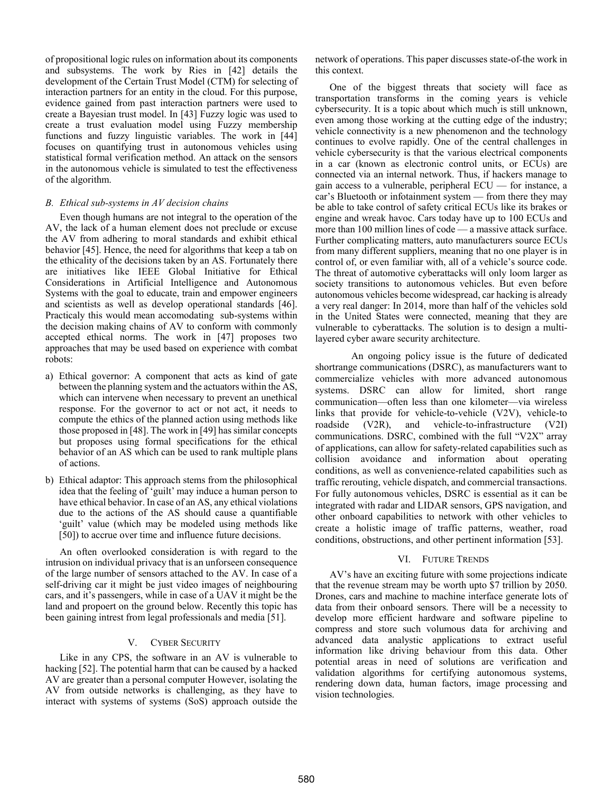of propositional logic rules on information about its components and subsystems. The work by Ries in [42] details the development of the Certain Trust Model (CTM) for selecting of interaction partners for an entity in the cloud. For this purpose, evidence gained from past interaction partners were used to create a Bayesian trust model. In [43] Fuzzy logic was used to create a trust evaluation model using Fuzzy membership functions and fuzzy linguistic variables. The work in [44] focuses on quantifying trust in autonomous vehicles using statistical formal verification method. An attack on the sensors in the autonomous vehicle is simulated to test the effectiveness of the algorithm.

# *B. Ethical sub-systems in AV decision chains*

Even though humans are not integral to the operation of the AV, the lack of a human element does not preclude or excuse the AV from adhering to moral standards and exhibit ethical behavior [45]. Hence, the need for algorithms that keep a tab on the ethicality of the decisions taken by an AS. Fortunately there are initiatives like IEEE Global Initiative for Ethical Considerations in Artificial Intelligence and Autonomous Systems with the goal to educate, train and empower engineers and scientists as well as develop operational standards [46]. Practicaly this would mean accomodating sub-systems within the decision making chains of AV to conform with commonly accepted ethical norms. The work in [47] proposes two approaches that may be used based on experience with combat robots:

- a) Ethical governor: A component that acts as kind of gate between the planning system and the actuators within the AS, which can intervene when necessary to prevent an unethical response. For the governor to act or not act, it needs to compute the ethics of the planned action using methods like those proposed in [48]. The work in [49] has similar concepts but proposes using formal specifications for the ethical behavior of an AS which can be used to rank multiple plans of actions.
- b) Ethical adaptor: This approach stems from the philosophical idea that the feeling of 'guilt' may induce a human person to have ethical behavior. In case of an AS, any ethical violations due to the actions of the AS should cause a quantifiable 'guilt' value (which may be modeled using methods like [50]) to accrue over time and influence future decisions.

An often overlooked consideration is with regard to the intrusion on individual privacy that is an unforseen consequence of the large number of sensors attached to the AV. In case of a self-driving car it might be just video images of neighbouring cars, and it's passengers, while in case of a UAV it might be the land and propoert on the ground below. Recently this topic has been gaining intrest from legal professionals and media [51].

# V. CYBER SECURITY

Like in any CPS, the software in an AV is vulnerable to hacking [52]. The potential harm that can be caused by a hacked AV are greater than a personal computer However, isolating the AV from outside networks is challenging, as they have to interact with systems of systems (SoS) approach outside the

network of operations. This paper discusses state-of-the work in this context.

One of the biggest threats that society will face as transportation transforms in the coming years is vehicle cybersecurity. It is a topic about which much is still unknown, even among those working at the cutting edge of the industry; vehicle connectivity is a new phenomenon and the technology continues to evolve rapidly. One of the central challenges in vehicle cybersecurity is that the various electrical components in a car (known as electronic control units, or ECUs) are connected via an internal network. Thus, if hackers manage to gain access to a vulnerable, peripheral ECU — for instance, a car's Bluetooth or infotainment system — from there they may be able to take control of safety critical ECUs like its brakes or engine and wreak havoc. Cars today have up to 100 ECUs and more than 100 million lines of code — a massive attack surface. Further complicating matters, auto manufacturers source ECUs from many different suppliers, meaning that no one player is in control of, or even familiar with, all of a vehicle's source code. The threat of automotive cyberattacks will only loom larger as society transitions to autonomous vehicles. But even before autonomous vehicles become widespread, car hacking is already a very real danger: In 2014, more than half of the vehicles sold in the United States were connected, meaning that they are vulnerable to cyberattacks. The solution is to design a multilayered cyber aware security architecture.

An ongoing policy issue is the future of dedicated shortrange communications (DSRC), as manufacturers want to commercialize vehicles with more advanced autonomous systems. DSRC can allow for limited, short range communication—often less than one kilometer—via wireless links that provide for vehicle-to-vehicle (V2V), vehicle-to roadside (V2R), and vehicle-to-infrastructure (V2I) communications. DSRC, combined with the full "V2X" array of applications, can allow for safety-related capabilities such as collision avoidance and information about operating conditions, as well as convenience-related capabilities such as traffic rerouting, vehicle dispatch, and commercial transactions. For fully autonomous vehicles, DSRC is essential as it can be integrated with radar and LIDAR sensors, GPS navigation, and other onboard capabilities to network with other vehicles to create a holistic image of traffic patterns, weather, road conditions, obstructions, and other pertinent information [53].

#### VI. FUTURE TRENDS

AV's have an exciting future with some projections indicate that the revenue stream may be worth upto \$7 trillion by 2050. Drones, cars and machine to machine interface generate lots of data from their onboard sensors. There will be a necessity to develop more efficient hardware and software pipeline to compress and store such volumous data for archiving and advanced data analystic applications to extract useful information like driving behaviour from this data. Other potential areas in need of solutions are verification and validation algorithms for certifying autonomous systems, rendering down data, human factors, image processing and vision technologies.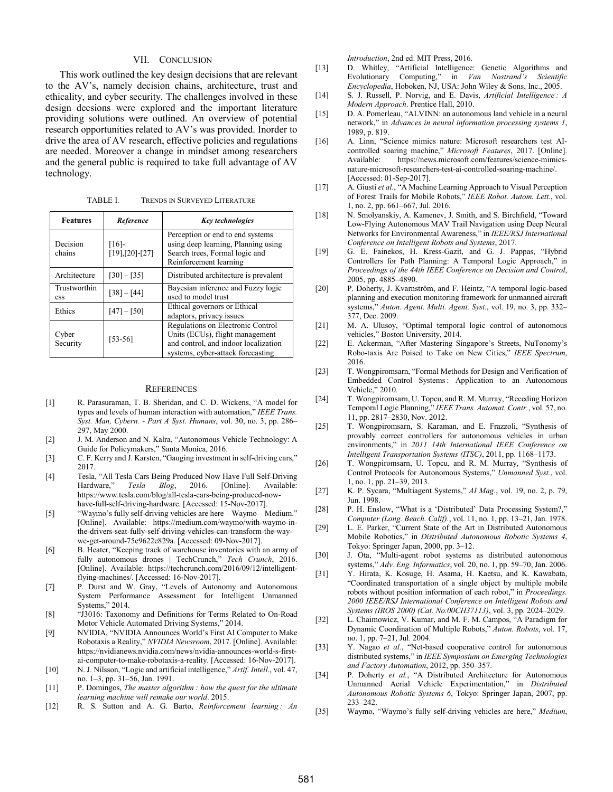# VII. CONCLUSION

This work outlined the key design decisions that are relevant to the AV's, namely decision chains, architecture, trust and ethicality, and cyber security. The challenges involved in these design decsions were explored and the important literature providing solutions were outlined. An overview of potential research opportunities related to AV's was provided. Inorder to drive the area of AV research, effective policies and regulations are needed. Moreover a change in mindset among researchers and the general public is required to take full advantage of AV technology.

| <b>TABLE L</b> | <b>TRENDS IN SURVEYED LITERATURE</b> |  |
|----------------|--------------------------------------|--|
|----------------|--------------------------------------|--|

| <b>Features</b>     | Reference                    | <b>Key technologies</b>                                                                                                                            |
|---------------------|------------------------------|----------------------------------------------------------------------------------------------------------------------------------------------------|
| Decision<br>chains  | $[16]$ -<br>$[19],[20]-[27]$ | Perception or end to end systems<br>using deep learning. Planning using<br>Search trees, Formal logic and<br>Reinforcement learning                |
| Architecture        | $[30]-[35]$                  | Distributed architecture is prevalent                                                                                                              |
| Trustworthin<br>ess | $[38] - [44]$                | Bayesian inference and Fuzzy logic<br>used to model trust                                                                                          |
| Ethics              | $[47] - [50]$                | Ethical governors or Ethical<br>adaptors, privacy issues                                                                                           |
| Cyber<br>Security   | $[53-56]$                    | Regulations on Electronic Control<br>Units (ECUs), flight management<br>and control, and indoor localization<br>systems, cyber-attack forecasting. |

#### **REFERENCES**

- [1] R. Parasuraman, T. B. Sheridan, and C. D. Wickens, "A model for types and levels of human interaction with automation," *IEEE Trans. Syst. Man, Cybern. - Part A Syst. Humans*, vol. 30, no. 3, pp. 286– 297, May 2000.
- [2] J. M. Anderson and N. Kalra, "Autonomous Vehicle Technology: A Guide for Policymakers," Santa Monica, 2016.
- [3] C. F. Kerry and J. Karsten, "Gauging investment in self-driving cars," 2017.
- [4] Tesla, "All Tesla Cars Being Produced Now Have Full Self-Driving Hardware," *Tesla Blog*, 2016. [Online]. Available: https://www.tesla.com/blog/all-tesla-cars-being-produced-nowhave-full-self-driving-hardware. [Accessed: 15-Nov-2017].
- [5] "Waymo's fully self-driving vehicles are here Waymo Medium." [Online]. Available: https://medium.com/waymo/with-waymo-inthe-drivers-seat-fully-self-driving-vehicles-can-transform-the-waywe-get-around-75e9622e829a. [Accessed: 09-Nov-2017].
- [6] B. Heater, "Keeping track of warehouse inventories with an army of fully autonomous drones | TechCrunch," *Tech Crunch*, 2016. [Online]. Available: https://techcrunch.com/2016/09/12/intelligentflying-machines/. [Accessed: 16-Nov-2017].
- [7] P. Durst and W. Gray, "Levels of Autonomy and Autonomous System Performance Assessment for Intelligent Unmanned Systems," 2014.
- [8] "J3016: Taxonomy and Definitions for Terms Related to On-Road Motor Vehicle Automated Driving Systems," 2014.
- [9] NVIDIA, "NVIDIA Announces World's First AI Computer to Make Robotaxis a Reality," *NVIDIA Newsroom*, 2017. [Online]. Available: https://nvidianews.nvidia.com/news/nvidia-announces-world-s-firstai-computer-to-make-robotaxis-a-reality. [Accessed: 16-Nov-2017].
- [10] N. J. Nilsson, "Logic and artificial intelligence," *Artif. Intell.*, vol. 47, no. 1–3, pp. 31–56, Jan. 1991.
- [11] P. Domingos, *The master algorithm : how the quest for the ultimate learning machine will remake our world*. 2015.
- [12] R. S. Sutton and A. G. Barto, *Reinforcement learning : An*

*Introduction*, 2nd ed. MIT Press, 2016.

- [13] D. Whitley, "Artificial Intelligence: Genetic Algorithms and Evolutionary Computing," in *Van Nostrand's Scientific* Computing," in *Van Nostrand's Scientific Encyclopedia*, Hoboken, NJ, USA: John Wiley & Sons, Inc., 2005.
- [14] S. J. Russell, P. Norvig, and E. Davis, *Artificial Intelligence : A Modern Approach*. Prentice Hall, 2010.
- [15] D. A. Pomerleau, "ALVINN: an autonomous land vehicle in a neural network," in *Advances in neural information processing systems 1*, 1989, p. 819.
- [16] A. Linn, "Science mimics nature: Microsoft researchers test AIcontrolled soaring machine," *Microsoft Features*, 2017. [Online]. Available: https://news.microsoft.com/features/science-mimicsnature-microsoft-researchers-test-ai-controlled-soaring-machine/. [Accessed: 01-Sep-2017].
- [17] A. Giusti *et al.*, "A Machine Learning Approach to Visual Perception of Forest Trails for Mobile Robots," *IEEE Robot. Autom. Lett.*, vol. 1, no. 2, pp. 661–667, Jul. 2016.
- [18] N. Smolyanskiy, A. Kamenev, J. Smith, and S. Birchfield, "Toward Low-Flying Autonomous MAV Trail Navigation using Deep Neural Networks for Environmental Awareness," in *IEEE/RSJ International Conference on Intelligent Robots and Systems*, 2017.
- [19] G. E. Fainekos, H. Kress-Gazit, and G. J. Pappas, "Hybrid Controllers for Path Planning: A Temporal Logic Approach," in *Proceedings of the 44th IEEE Conference on Decision and Control*, 2005, pp. 4885–4890.
- [20] P. Doherty, J. Kvarnström, and F. Heintz, "A temporal logic-based planning and execution monitoring framework for unmanned aircraft systems," *Auton. Agent. Multi. Agent. Syst.*, vol. 19, no. 3, pp. 332– 377, Dec. 2009.
- [21] M. A. Ulusoy, "Optimal temporal logic control of autonomous vehicles," Boston University, 2014.
- [22] E. Ackerman, "After Mastering Singapore's Streets, NuTonomy's Robo-taxis Are Poised to Take on New Cities," *IEEE Spectrum*, 2016.
- [23] T. Wongpiromsarn, "Formal Methods for Design and Verification of Embedded Control Systems: Application to an Autonomous Vehicle," 2010.
- [24] T. Wongpiromsarn, U. Topcu, and R. M. Murray, "Receding Horizon Temporal Logic Planning," *IEEE Trans. Automat. Contr.*, vol. 57, no. 11, pp. 2817–2830, Nov. 2012.
- [25] T. Wongpiromsarn, S. Karaman, and E. Frazzoli, "Synthesis of provably correct controllers for autonomous vehicles in urban environments," in *2011 14th International IEEE Conference on Intelligent Transportation Systems (ITSC)*, 2011, pp. 1168–1173.
- [26] T. Wongpiromsarn, U. Topcu, and R. M. Murray, "Synthesis of Control Protocols for Autonomous Systems," *Unmanned Syst.*, vol. 1, no. 1, pp. 21–39, 2013.
- [27] K. P. Sycara, "Multiagent Systems," *AI Mag.*, vol. 19, no. 2, p. 79, Jun. 1998.
- [28] P. H. Enslow, "What is a 'Distributed' Data Processing System?," *Computer (Long. Beach. Calif).*, vol. 11, no. 1, pp. 13–21, Jan. 1978.
- [29] L. E. Parker, "Current State of the Art in Distributed Autonomous Mobile Robotics," in *Distributed Autonomous Robotic Systems 4*, Tokyo: Springer Japan, 2000, pp. 3–12.
- [30] J. Ota, "Multi-agent robot systems as distributed autonomous systems," *Adv. Eng. Informatics*, vol. 20, no. 1, pp. 59–70, Jan. 2006.
- [31] Y. Hirata, K. Kosuge, H. Asama, H. Kaetsu, and K. Kawabata, "Coordinated transportation of a single object by multiple mobile robots without position information of each robot," in *Proceedings. 2000 IEEE/RSJ International Conference on Intelligent Robots and Systems (IROS 2000) (Cat. No.00CH37113)*, vol. 3, pp. 2024–2029.
- [32] L. Chaimowicz, V. Kumar, and M. F. M. Campos, "A Paradigm for Dynamic Coordination of Multiple Robots," *Auton. Robots*, vol. 17, no. 1, pp. 7–21, Jul. 2004.
- [33] Y. Nagao et al., "Net-based cooperative control for autonomous distributed systems," in *IEEE Symposium on Emerging Technologies and Factory Automation*, 2012, pp. 350–357.
- [34] P. Doherty et al., "A Distributed Architecture for Autonomous Unmanned Aerial Vehicle Experimentation," in *Distributed Autonomous Robotic Systems 6*, Tokyo: Springer Japan, 2007, pp. 233–242.
- [35] Waymo, "Waymo's fully self-driving vehicles are here," *Medium*,